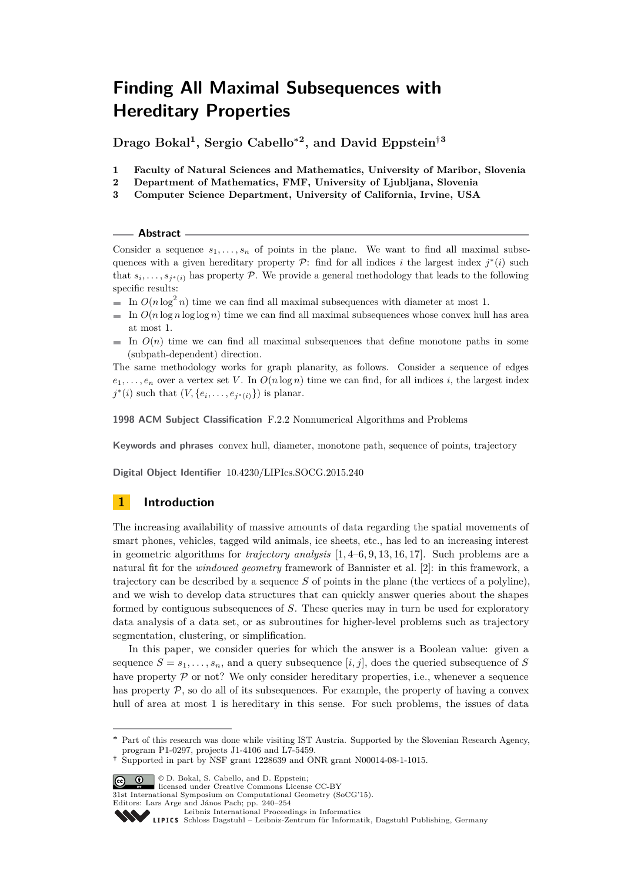**Drago Bokal<sup>1</sup> , Sergio Cabello<sup>∗</sup><sup>2</sup> , and David Eppstein†<sup>3</sup>**

- **1 Faculty of Natural Sciences and Mathematics, University of Maribor, Slovenia**
- **2 Department of Mathematics, FMF, University of Ljubljana, Slovenia**
- **3 Computer Science Department, University of California, Irvine, USA**

#### **Abstract**

Consider a sequence  $s_1, \ldots, s_n$  of points in the plane. We want to find all maximal subsequences with a given hereditary property  $P$ : find for all indices *i* the largest index  $j^*(i)$  such that  $s_i, \ldots, s_{j^*(i)}$  has property P. We provide a general methodology that leads to the following specific results:

- In  $O(n \log^2 n)$  time we can find all maximal subsequences with diameter at most 1.
- $\blacksquare$  In  $O(n \log n \log \log n)$  time we can find all maximal subsequences whose convex hull has area at most 1.
- In  $O(n)$  time we can find all maximal subsequences that define monotone paths in some  $\sim$ (subpath-dependent) direction.

The same methodology works for graph planarity, as follows. Consider a sequence of edges  $e_1, \ldots, e_n$  over a vertex set *V*. In  $O(n \log n)$  time we can find, for all indices *i*, the largest index *j*<sup>\*</sup>(*i*) such that  $(V, \{e_i, \ldots, e_{j^*(i)}\})$  is planar.

**1998 ACM Subject Classification** F.2.2 Nonnumerical Algorithms and Problems

**Keywords and phrases** convex hull, diameter, monotone path, sequence of points, trajectory

**Digital Object Identifier** [10.4230/LIPIcs.SOCG.2015.240](http://dx.doi.org/10.4230/LIPIcs.SOCG.2015.240)

# **1 Introduction**

The increasing availability of massive amounts of data regarding the spatial movements of smart phones, vehicles, tagged wild animals, ice sheets, etc., has led to an increasing interest in geometric algorithms for *trajectory analysis* [\[1,](#page-14-0) [4](#page-14-1)[–6,](#page-14-2) [9,](#page-14-3) [13,](#page-14-4) [16,](#page-14-5) [17\]](#page-14-6). Such problems are a natural fit for the *windowed geometry* framework of Bannister et al. [\[2\]](#page-14-7): in this framework, a trajectory can be described by a sequence *S* of points in the plane (the vertices of a polyline), and we wish to develop data structures that can quickly answer queries about the shapes formed by contiguous subsequences of *S*. These queries may in turn be used for exploratory data analysis of a data set, or as subroutines for higher-level problems such as trajectory segmentation, clustering, or simplification.

In this paper, we consider queries for which the answer is a Boolean value: given a sequence  $S = s_1, \ldots, s_n$ , and a query subsequence  $[i, j]$ , does the queried subsequence of *S* have property  $\mathcal P$  or not? We only consider hereditary properties, i.e., whenever a sequence has property  $P$ , so do all of its subsequences. For example, the property of having a convex hull of area at most 1 is hereditary in this sense. For such problems, the issues of data

**<sup>†</sup>** Supported in part by NSF grant 1228639 and ONR grant N00014-08-1-1015.



31st International Symposium on Computational Geometry (SoCG'15).

Editors: Lars Arge and János Pach; pp. 240[–254](#page-14-8)

**<sup>∗</sup>** Part of this research was done while visiting IST Austria. Supported by the Slovenian Research Agency, program P1-0297, projects J1-4106 and L7-5459.

[Leibniz International Proceedings in Informatics](http://www.dagstuhl.de/lipics/)

Schloss Dagstuhl – Leibniz-Zentrum für Informatik, Dagstuhl Publishing, Germany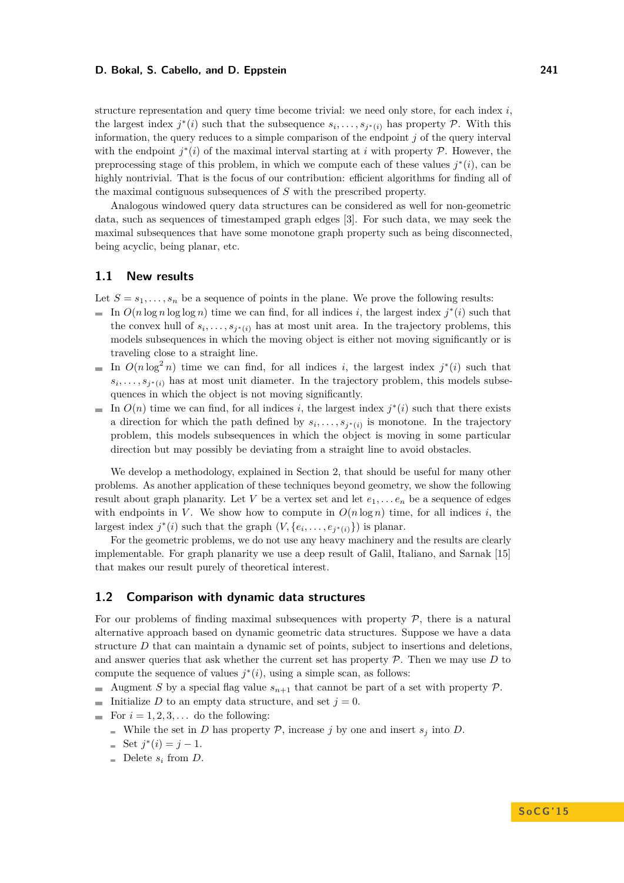structure representation and query time become trivial: we need only store, for each index *i*, the largest index  $j^*(i)$  such that the subsequence  $s_i, \ldots, s_{j^*(i)}$  has property P. With this information, the query reduces to a simple comparison of the endpoint *j* of the query interval with the endpoint  $j^*(i)$  of the maximal interval starting at *i* with property  $P$ . However, the preprocessing stage of this problem, in which we compute each of these values  $j^*(i)$ , can be highly nontrivial. That is the focus of our contribution: efficient algorithms for finding all of the maximal contiguous subsequences of *S* with the prescribed property.

Analogous windowed query data structures can be considered as well for non-geometric data, such as sequences of timestamped graph edges [\[3\]](#page-14-9). For such data, we may seek the maximal subsequences that have some monotone graph property such as being disconnected, being acyclic, being planar, etc.

#### **1.1 New results**

Let  $S = s_1, \ldots, s_n$  be a sequence of points in the plane. We prove the following results:

- In  $O(n \log n \log \log n)$  time we can find, for all indices *i*, the largest index  $j^*(i)$  such that the convex hull of  $s_i, \ldots, s_{j^*(i)}$  has at most unit area. In the trajectory problems, this models subsequences in which the moving object is either not moving significantly or is traveling close to a straight line.
- In  $O(n \log^2 n)$  time we can find, for all indices *i*, the largest index  $j^*(i)$  such that ÷.  $s_i, \ldots, s_{j^*(i)}$  has at most unit diameter. In the trajectory problem, this models subsequences in which the object is not moving significantly.
- In  $O(n)$  time we can find, for all indices *i*, the largest index  $j^*(i)$  such that there exists a direction for which the path defined by  $s_i, \ldots, s_{j^*(i)}$  is monotone. In the trajectory problem, this models subsequences in which the object is moving in some particular direction but may possibly be deviating from a straight line to avoid obstacles.

We develop a methodology, explained in Section [2,](#page-3-0) that should be useful for many other problems. As another application of these techniques beyond geometry, we show the following result about graph planarity. Let *V* be a vertex set and let  $e_1, \ldots, e_n$  be a sequence of edges with endpoints in V. We show how to compute in  $O(n \log n)$  time, for all indices *i*, the largest index  $j^*(i)$  such that the graph  $(V, \{e_i, \ldots, e_{j^*(i)}\})$  is planar.

For the geometric problems, we do not use any heavy machinery and the results are clearly implementable. For graph planarity we use a deep result of Galil, Italiano, and Sarnak [\[15\]](#page-14-10) that makes our result purely of theoretical interest.

## **1.2 Comparison with dynamic data structures**

For our problems of finding maximal subsequences with property  $P$ , there is a natural alternative approach based on dynamic geometric data structures. Suppose we have a data structure *D* that can maintain a dynamic set of points, subject to insertions and deletions, and answer queries that ask whether the current set has property  $P$ . Then we may use  $D$  to compute the sequence of values  $j^*(i)$ , using a simple scan, as follows:

- Augment *S* by a special flag value  $s_{n+1}$  that cannot be part of a set with property P.
- Initialize *D* to an empty data structure, and set  $j = 0$ .
- For  $i = 1, 2, 3, \ldots$  do the following:
	- While the set in *D* has property  $P$ , increase *j* by one and insert  $s_j$  into *D*.
	- Set  $j^*(i) = j 1$ .
	- $\blacksquare$  Delete  $s_i$  from *D*.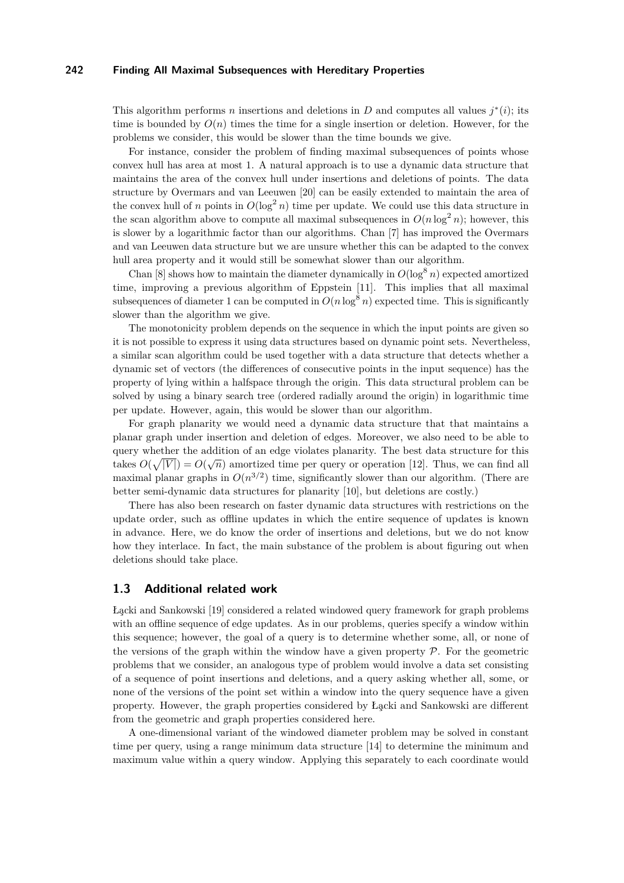This algorithm performs *n* insertions and deletions in *D* and computes all values  $j^*(i)$ ; its time is bounded by  $O(n)$  times the time for a single insertion or deletion. However, for the problems we consider, this would be slower than the time bounds we give.

For instance, consider the problem of finding maximal subsequences of points whose convex hull has area at most 1. A natural approach is to use a dynamic data structure that maintains the area of the convex hull under insertions and deletions of points. The data structure by Overmars and van Leeuwen [\[20\]](#page-14-11) can be easily extended to maintain the area of the convex hull of *n* points in  $O(\log^2 n)$  time per update. We could use this data structure in the scan algorithm above to compute all maximal subsequences in  $O(n \log^2 n)$ ; however, this is slower by a logarithmic factor than our algorithms. Chan [\[7\]](#page-14-12) has improved the Overmars and van Leeuwen data structure but we are unsure whether this can be adapted to the convex hull area property and it would still be somewhat slower than our algorithm.

Chan [\[8\]](#page-14-13) shows how to maintain the diameter dynamically in  $O(\log^8 n)$  expected amortized time, improving a previous algorithm of Eppstein [\[11\]](#page-14-14). This implies that all maximal subsequences of diameter 1 can be computed in  $O(n \log^8 n)$  expected time. This is significantly slower than the algorithm we give.

The monotonicity problem depends on the sequence in which the input points are given so it is not possible to express it using data structures based on dynamic point sets. Nevertheless, a similar scan algorithm could be used together with a data structure that detects whether a dynamic set of vectors (the differences of consecutive points in the input sequence) has the property of lying within a halfspace through the origin. This data structural problem can be solved by using a binary search tree (ordered radially around the origin) in logarithmic time per update. However, again, this would be slower than our algorithm.

For graph planarity we would need a dynamic data structure that that maintains a planar graph under insertion and deletion of edges. Moreover, we also need to be able to query whether the addition of an edge violates planarity. The best data structure for this takes  $O(\sqrt{|V|}) = O(\sqrt{n})$  amortized time per query or operation [\[12\]](#page-14-15). Thus, we can find all maximal planar graphs in  $O(n^{3/2})$  time, significantly slower than our algorithm. (There are better semi-dynamic data structures for planarity [\[10\]](#page-14-16), but deletions are costly.)

There has also been research on faster dynamic data structures with restrictions on the update order, such as offline updates in which the entire sequence of updates is known in advance. Here, we do know the order of insertions and deletions, but we do not know how they interlace. In fact, the main substance of the problem is about figuring out when deletions should take place.

# **1.3 Additional related work**

ُacki and Sankowski [\[19\]](#page-14-17) considered a related windowed query framework for graph problems with an offline sequence of edge updates. As in our problems, queries specify a window within this sequence; however, the goal of a query is to determine whether some, all, or none of the versions of the graph within the window have a given property  $P$ . For the geometric problems that we consider, an analogous type of problem would involve a data set consisting of a sequence of point insertions and deletions, and a query asking whether all, some, or none of the versions of the point set within a window into the query sequence have a given property. However, the graph properties considered by ُacki and Sankowski are different from the geometric and graph properties considered here.

A one-dimensional variant of the windowed diameter problem may be solved in constant time per query, using a range minimum data structure [\[14\]](#page-14-18) to determine the minimum and maximum value within a query window. Applying this separately to each coordinate would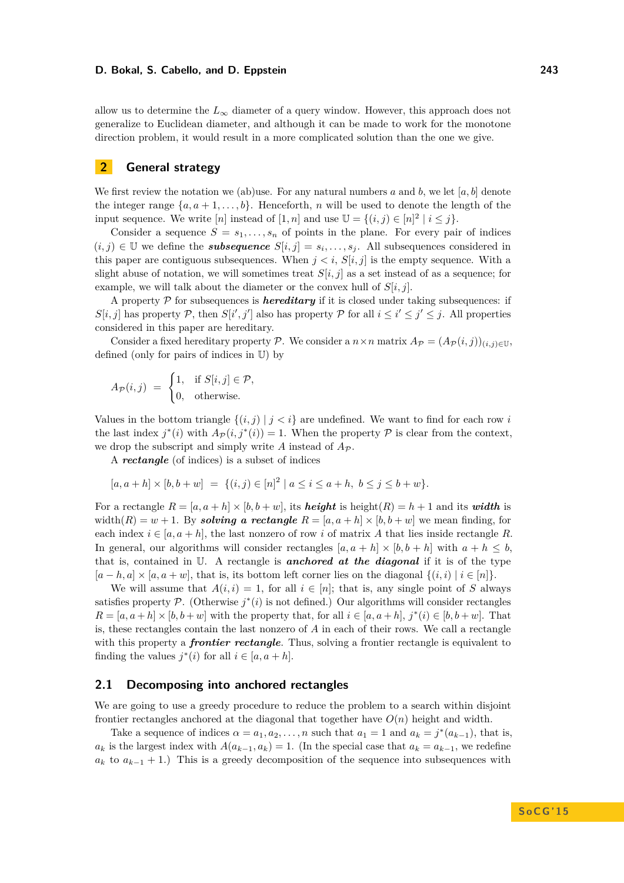allow us to determine the  $L_{\infty}$  diameter of a query window. However, this approach does not generalize to Euclidean diameter, and although it can be made to work for the monotone direction problem, it would result in a more complicated solution than the one we give.

# <span id="page-3-0"></span>**2 General strategy**

We first review the notation we (ab)use. For any natural numbers *a* and *b*, we let [*a, b*] denote the integer range  $\{a, a+1, \ldots, b\}$ . Henceforth, *n* will be used to denote the length of the input sequence. We write  $[n]$  instead of  $[1, n]$  and use  $\mathbb{U} = \{(i, j) \in [n]^2 \mid i \leq j\}.$ 

Consider a sequence  $S = s_1, \ldots, s_n$  of points in the plane. For every pair of indices  $(i, j) \in \mathbb{U}$  we define the *subsequence*  $S[i, j] = s_i, \ldots, s_j$ . All subsequences considered in this paper are contiguous subsequences. When  $j < i$ ,  $S[i, j]$  is the empty sequence. With a slight abuse of notation, we will sometimes treat  $S[i, j]$  as a set instead of as a sequence; for example, we will talk about the diameter or the convex hull of  $S[i, j]$ .

A property  $P$  for subsequences is *hereditary* if it is closed under taking subsequences: if  $S[i, j]$  has property P, then  $S[i', j']$  also has property P for all  $i \leq i' \leq j' \leq j$ . All properties considered in this paper are hereditary.

Consider a fixed hereditary property P. We consider a  $n \times n$  matrix  $A_{\mathcal{P}} = (A_{\mathcal{P}}(i,j))_{(i,j) \in \mathbb{U}}$ . defined (only for pairs of indices in U) by

$$
A_{\mathcal{P}}(i,j) = \begin{cases} 1, & \text{if } S[i,j] \in \mathcal{P}, \\ 0, & \text{otherwise.} \end{cases}
$$

Values in the bottom triangle  $\{(i, j) | j < i\}$  are undefined. We want to find for each row *i* the last index  $j^*(i)$  with  $A_{\mathcal{P}}(i, j^*(i)) = 1$ . When the property  $\mathcal P$  is clear from the context, we drop the subscript and simply write  $\vec{A}$  instead of  $\vec{A}_{\mathcal{P}}$ .

A *rectangle* (of indices) is a subset of indices

$$
[a, a+h] \times [b, b+w] = \{(i, j) \in [n]^2 \mid a \le i \le a+h, b \le j \le b+w\}.
$$

For a rectangle  $R = [a, a + h] \times [b, b + w]$ , its **height** is height $(R) = h + 1$  and its *width* is width $(R) = w + 1$ . By *solving a rectangle*  $R = [a, a + h] \times [b, b + w]$  we mean finding, for each index  $i \in [a, a+h]$ , the last nonzero of row i of matrix A that lies inside rectangle R. In general, our algorithms will consider rectangles  $[a, a + h] \times [b, b + h]$  with  $a + h \leq b$ , that is, contained in U. A rectangle is *anchored at the diagonal* if it is of the type  $[a-h,a] \times [a,a+w]$ , that is, its bottom left corner lies on the diagonal  $\{(i,i) | i \in [n]\}.$ 

We will assume that  $A(i, i) = 1$ , for all  $i \in [n]$ ; that is, any single point of *S* always satisfies property  $\mathcal{P}$ . (Otherwise  $j^*(i)$  is not defined.) Our algorithms will consider rectangles  $R = [a, a+h] \times [b, b+w]$  with the property that, for all  $i \in [a, a+h]$ ,  $j^*(i) \in [b, b+w]$ . That is, these rectangles contain the last nonzero of *A* in each of their rows. We call a rectangle with this property a **frontier rectangle**. Thus, solving a frontier rectangle is equivalent to finding the values  $j^*(i)$  for all  $i \in [a, a+h]$ .

## **2.1 Decomposing into anchored rectangles**

We are going to use a greedy procedure to reduce the problem to a search within disjoint frontier rectangles anchored at the diagonal that together have *O*(*n*) height and width.

Take a sequence of indices  $\alpha = a_1, a_2, \ldots, n$  such that  $a_1 = 1$  and  $a_k = j^*(a_{k-1})$ , that is,  $a_k$  is the largest index with  $A(a_{k-1}, a_k) = 1$ . (In the special case that  $a_k = a_{k-1}$ , we redefine  $a_k$  to  $a_{k-1}$  + 1.) This is a greedy decomposition of the sequence into subsequences with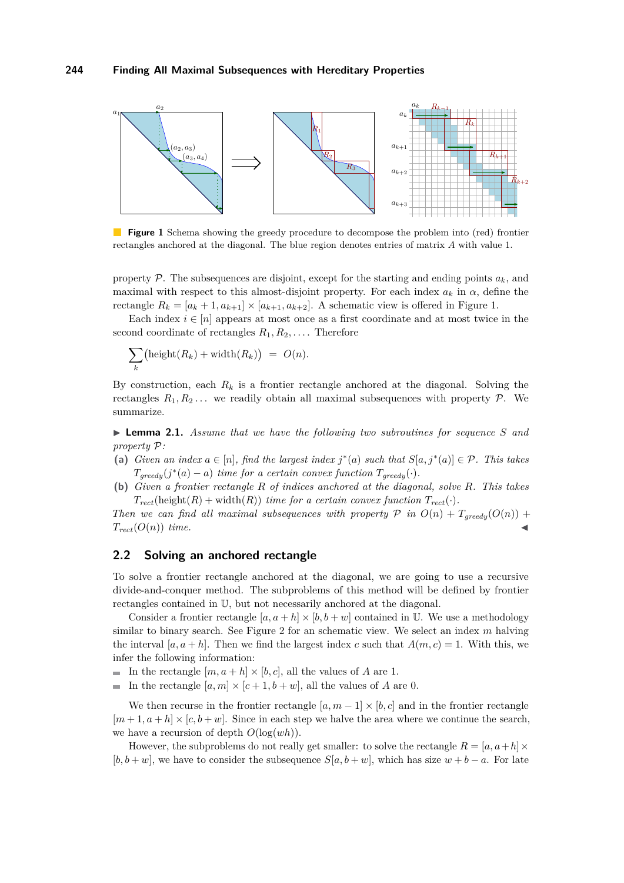<span id="page-4-0"></span>

**Figure 1** Schema showing the greedy procedure to decompose the problem into (red) frontier rectangles anchored at the diagonal. The blue region denotes entries of matrix *A* with value 1.

property  $P$ . The subsequences are disjoint, except for the starting and ending points  $a_k$ , and maximal with respect to this almost-disjoint property. For each index  $a_k$  in  $\alpha$ , define the rectangle  $R_k = [a_k + 1, a_{k+1}] \times [a_{k+1}, a_{k+2}]$ . A schematic view is offered in Figure [1.](#page-4-0)

Each index  $i \in [n]$  appears at most once as a first coordinate and at most twice in the second coordinate of rectangles  $R_1, R_2, \ldots$ . Therefore

$$
\sum_{k} (\text{height}(R_k) + \text{width}(R_k)) = O(n).
$$

By construction, each  $R_k$  is a frontier rectangle anchored at the diagonal. Solving the rectangles  $R_1, R_2, \ldots$  we readily obtain all maximal subsequences with property  $P$ . We summarize.

<span id="page-4-1"></span>I **Lemma 2.1.** *Assume that we have the following two subroutines for sequence S and property* P*:*

- (a) *Given an index*  $a \in [n]$ *, find the largest index*  $j^*(a)$  *such that*  $S[a, j^*(a)] \in \mathcal{P}$ *. This takes*  $T_{greedy}(j^*(a) - a)$  *time for a certain convex function*  $T_{greedy}(\cdot)$ *.*
- **(b)** *Given a frontier rectangle R of indices anchored at the diagonal, solve R. This takes*  $T_{rect}(\text{height}(R) + \text{width}(R))$  *time for a certain convex function*  $T_{rect}(\cdot)$ *.*

*Then we can find all maximal subsequences with property*  $P$  *in*  $O(n) + T_{greedy}(O(n))$  +  $T_{rect}(O(n))$  *time.* 

## <span id="page-4-2"></span>**2.2 Solving an anchored rectangle**

To solve a frontier rectangle anchored at the diagonal, we are going to use a recursive divide-and-conquer method. The subproblems of this method will be defined by frontier rectangles contained in U, but not necessarily anchored at the diagonal.

Consider a frontier rectangle  $[a, a + h] \times [b, b + w]$  contained in U. We use a methodology similar to binary search. See Figure [2](#page-5-0) for an schematic view. We select an index *m* halving the interval  $[a, a + h]$ . Then we find the largest index *c* such that  $A(m, c) = 1$ . With this, we infer the following information:

- In the rectangle  $[m, a+h] \times [b, c]$ , all the values of *A* are 1.
- $\equiv$ In the rectangle  $[a, m] \times [c + 1, b + w]$ , all the values of *A* are 0.

We then recurse in the frontier rectangle  $[a, m-1] \times [b, c]$  and in the frontier rectangle  $[m+1, a+h] \times [c, b+w]$ . Since in each step we halve the area where we continue the search, we have a recursion of depth  $O(\log(wh))$ .

However, the subproblems do not really get smaller: to solve the rectangle  $R = [a, a+h] \times$  $[b, b + w]$ , we have to consider the subsequence  $S[a, b + w]$ , which has size  $w + b - a$ . For late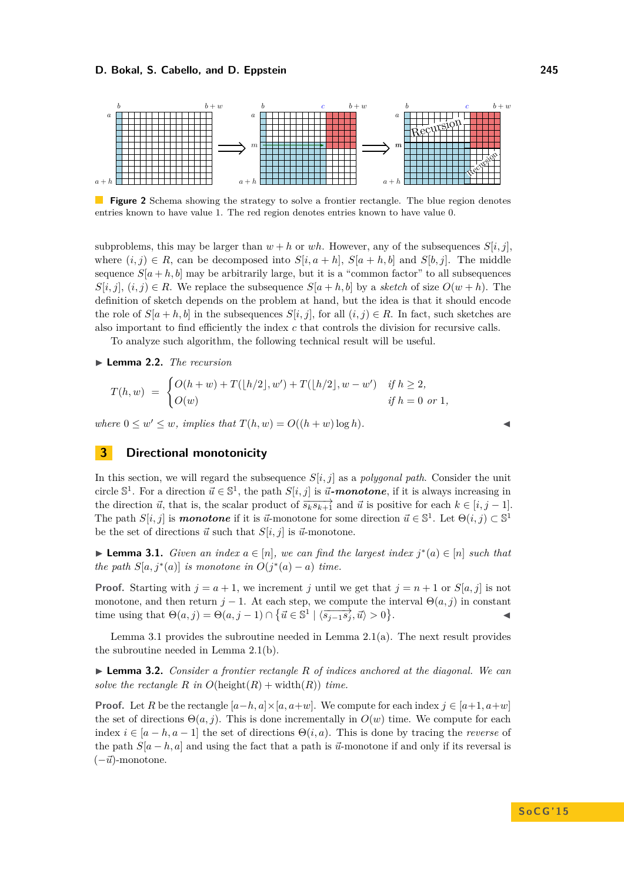<span id="page-5-0"></span>

Figure 2 Schema showing the strategy to solve a frontier rectangle. The blue region denotes entries known to have value 1. The red region denotes entries known to have value 0.

subproblems, this may be larger than  $w + h$  or  $wh$ . However, any of the subsequences  $S[i, j]$ , where  $(i, j) \in R$ , can be decomposed into  $S[i, a + h]$ ,  $S[a + h, b]$  and  $S[b, j]$ . The middle sequence  $S[a + h, b]$  may be arbitrarily large, but it is a "common factor" to all subsequences  $S[i, j]$ ,  $(i, j) \in R$ . We replace the subsequence  $S[a + h, b]$  by a *sketch* of size  $O(w + h)$ . The definition of sketch depends on the problem at hand, but the idea is that it should encode the role of  $S[a + h, b]$  in the subsequences  $S[i, j]$ , for all  $(i, j) \in R$ . In fact, such sketches are also important to find efficiently the index *c* that controls the division for recursive calls.

To analyze such algorithm, the following technical result will be useful.

<span id="page-5-3"></span>▶ **Lemma 2.2.** *The recursion* 

$$
T(h, w) = \begin{cases} O(h + w) + T([h/2], w') + T([h/2], w - w') & \text{if } h \ge 2, \\ O(w) & \text{if } h = 0 \text{ or } 1, \end{cases}
$$

*where*  $0 \leq w' \leq w$ , *implies that*  $T(h, w) = O((h + w) \log h)$ .

# **3 Directional monotonicity**

In this section, we will regard the subsequence *S*[*i, j*] as a *polygonal path*. Consider the unit circle  $\mathbb{S}^1$ . For a direction  $\vec{u} \in \mathbb{S}^1$ , the path  $S[i, j]$  is  $\vec{u}$ -monotone, if it is always increasing in the direction  $\vec{u}$ , that is, the scalar product of  $\overrightarrow{s_k s_{k+1}}$  and  $\vec{u}$  is positive for each  $k \in [i, j-1]$ . The path  $S[i, j]$  is **monotone** if it is  $\vec{u}$ -monotone for some direction  $\vec{u} \in \mathbb{S}^1$ . Let  $\Theta(i, j) \subset \mathbb{S}^1$ be the set of directions  $\vec{u}$  such that  $S[i, j]$  is  $\vec{u}$ -monotone.

<span id="page-5-1"></span>▶ **Lemma 3.1.** *Given an index*  $a \in [n]$ *, we can find the largest index*  $j^*(a) \in [n]$  *such that the path*  $S[a, j^*(a)]$  *is monotone in*  $O(j^*(a) - a)$  *time.* 

**Proof.** Starting with  $j = a + 1$ , we increment *j* until we get that  $j = n + 1$  or  $S[a, j]$  is not monotone, and then return  $j - 1$ . At each step, we compute the interval  $\Theta(a, j)$  in constant time using that  $\Theta(a, j) = \Theta(a, j - 1) \cap \{\vec{u} \in \mathbb{S}^1 \mid \langle \overrightarrow{s_{j-1}s_j}, \vec{u} \rangle > 0\}$ . John J. J. J. J. J. J.

Lemma [3.1](#page-5-1) provides the subroutine needed in Lemma [2.1\(](#page-4-1)a). The next result provides the subroutine needed in Lemma [2.1\(](#page-4-1)b).

<span id="page-5-2"></span>I **Lemma 3.2.** *Consider a frontier rectangle R of indices anchored at the diagonal. We can solve the rectangle R in*  $O(\text{height}(R) + \text{width}(R))$  *time.* 

**Proof.** Let *R* be the rectangle  $[a-h, a] \times [a, a+w]$ . We compute for each index  $j \in [a+1, a+w]$ the set of directions  $\Theta(a, j)$ . This is done incrementally in  $O(w)$  time. We compute for each index  $i \in [a-h, a-1]$  the set of directions  $\Theta(i, a)$ . This is done by tracing the *reverse* of the path  $S[a-h,a]$  and using the fact that a path is  $\vec{u}$ -monotone if and only if its reversal is  $(-\vec{u})$ -monotone.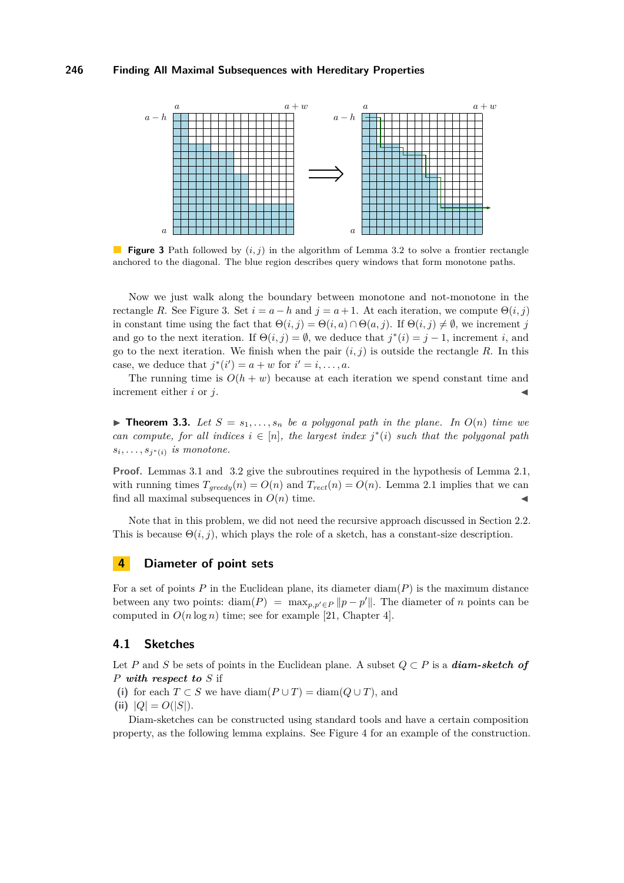<span id="page-6-0"></span>

**Figure 3** Path followed by (*i, j*) in the algorithm of Lemma [3.2](#page-5-2) to solve a frontier rectangle anchored to the diagonal. The blue region describes query windows that form monotone paths.

Now we just walk along the boundary between monotone and not-monotone in the rectangle *R*. See Figure [3.](#page-6-0) Set  $i = a - h$  and  $j = a + 1$ . At each iteration, we compute  $\Theta(i, j)$ in constant time using the fact that  $\Theta(i, j) = \Theta(i, a) \cap \Theta(a, j)$ . If  $\Theta(i, j) \neq \emptyset$ , we increment *j* and go to the next iteration. If  $\Theta(i, j) = \emptyset$ , we deduce that  $j^*(i) = j - 1$ , increment *i*, and go to the next iteration. We finish when the pair  $(i, j)$  is outside the rectangle R. In this case, we deduce that  $j^*(i') = a + w$  for  $i' = i, \ldots, a$ .

The running time is  $O(h + w)$  because at each iteration we spend constant time and increment either  $i$  or  $j$ .

**Find 1.3.** *Let*  $S = s_1, \ldots, s_n$  *be a polygonal path in the plane. In*  $O(n)$  *time we can compute, for all indices*  $i \in [n]$ *, the largest index*  $j^*(i)$  *such that the polygonal path*  $s_i, \ldots, s_{j^*(i)}$  *is monotone.* 

**Proof.** Lemmas [3.1](#page-5-1) and [3.2](#page-5-2) give the subroutines required in the hypothesis of Lemma [2.1,](#page-4-1) with running times  $T_{greedy}(n) = O(n)$  and  $T_{rect}(n) = O(n)$ . Lemma [2.1](#page-4-1) implies that we can find all maximal subsequences in  $O(n)$  time.

Note that in this problem, we did not need the recursive approach discussed in Section [2.2.](#page-4-2) This is because  $\Theta(i, j)$ , which plays the role of a sketch, has a constant-size description.

## **4 Diameter of point sets**

For a set of points *P* in the Euclidean plane, its diameter diam(*P*) is the maximum distance between any two points: diam( $P$ ) = max<sub>p,p'</sub> $\in$   $p$  || $p - p'$ ||. The diameter of *n* points can be computed in  $O(n \log n)$  time; see for example [\[21,](#page-14-19) Chapter 4].

## **4.1 Sketches**

Let *P* and *S* be sets of points in the Euclidean plane. A subset *Q* ⊂ *P* is a *diam-sketch of P with respect to S* if

(i) for each  $T \subset S$  we have diam( $P \cup T$ ) = diam( $Q \cup T$ ), and

(ii)  $|Q| = O(|S|)$ .

Diam-sketches can be constructed using standard tools and have a certain composition property, as the following lemma explains. See Figure [4](#page-7-0) for an example of the construction.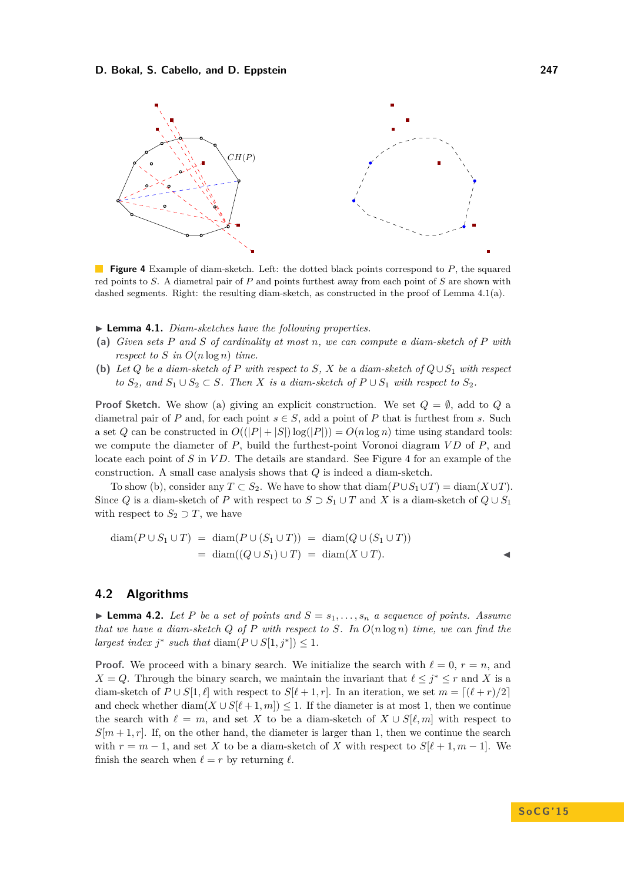<span id="page-7-0"></span>

**Figure 4** Example of diam-sketch. Left: the dotted black points correspond to *P*, the squared red points to *S*. A diametral pair of *P* and points furthest away from each point of *S* are shown with dashed segments. Right: the resulting diam-sketch, as constructed in the proof of Lemma [4.1\(](#page-7-1)a).

#### <span id="page-7-1"></span>▶ **Lemma 4.1.** *Diam-sketches have the following properties.*

- **(a)** *Given sets P and S of cardinality at most n, we can compute a diam-sketch of P with respect to S in*  $O(n \log n)$  *time.*
- **(b)** Let  $Q$  be a diam-sketch of  $P$  with respect to  $S$ ,  $X$  be a diam-sketch of  $Q \cup S_1$  with respect *to*  $S_2$ *, and*  $S_1 ∪ S_2 ⊂ S$ *. Then X is a diam-sketch of*  $P ∪ S_1$  *with respect to*  $S_2$ *.*

**Proof Sketch.** We show (a) giving an explicit construction. We set  $Q = \emptyset$ , add to  $Q$  a diametral pair of *P* and, for each point  $s \in S$ , add a point of *P* that is furthest from *s*. Such a set *Q* can be constructed in  $O((|P| + |S|)log(|P|)) = O(n log n)$  time using standard tools: we compute the diameter of *P*, build the furthest-point Voronoi diagram *V D* of *P*, and locate each point of *S* in *V D*. The details are standard. See Figure [4](#page-7-0) for an example of the construction. A small case analysis shows that *Q* is indeed a diam-sketch.

To show (b), consider any  $T \subset S_2$ . We have to show that  $\text{diam}(P \cup S_1 \cup T) = \text{diam}(X \cup T)$ . Since *Q* is a diam-sketch of *P* with respect to  $S \supset S_1 \cup T$  and *X* is a diam-sketch of  $Q \cup S_1$ with respect to  $S_2 \supset T$ , we have

$$
diam(P \cup S_1 \cup T) = diam(P \cup (S_1 \cup T)) = diam(Q \cup (S_1 \cup T))
$$
  
= diam((Q \cup S\_1) \cup T) = diam(X \cup T).

# <span id="page-7-3"></span>**4.2 Algorithms**

<span id="page-7-2"></span>**Lemma 4.2.** Let P be a set of points and  $S = s_1, \ldots, s_n$  a sequence of points. Assume *that we have a diam-sketch Q of P with respect to S. In O*(*n* log *n*) *time, we can find the largest index*  $j^*$  *such that* diam $(P \cup S[1, j^*]) \leq 1$ *.* 

**Proof.** We proceed with a binary search. We initialize the search with  $\ell = 0, r = n$ , and *X* = *Q*. Through the binary search, we maintain the invariant that  $\ell \leq j^* \leq r$  and *X* is a diam-sketch of  $P \cup S[1, \ell]$  with respect to  $S[\ell + 1, r]$ . In an iteration, we set  $m = [(\ell + r)/2]$ and check whether  $\text{diam}(X \cup S[\ell+1,m]) \leq 1$ . If the diameter is at most 1, then we continue the search with  $\ell = m$ , and set *X* to be a diam-sketch of  $X \cup S[\ell, m]$  with respect to  $S[m+1,r]$ . If, on the other hand, the diameter is larger than 1, then we continue the search with  $r = m - 1$ , and set X to be a diam-sketch of X with respect to  $S[\ell + 1, m - 1]$ . We finish the search when  $\ell = r$  by returning  $\ell$ .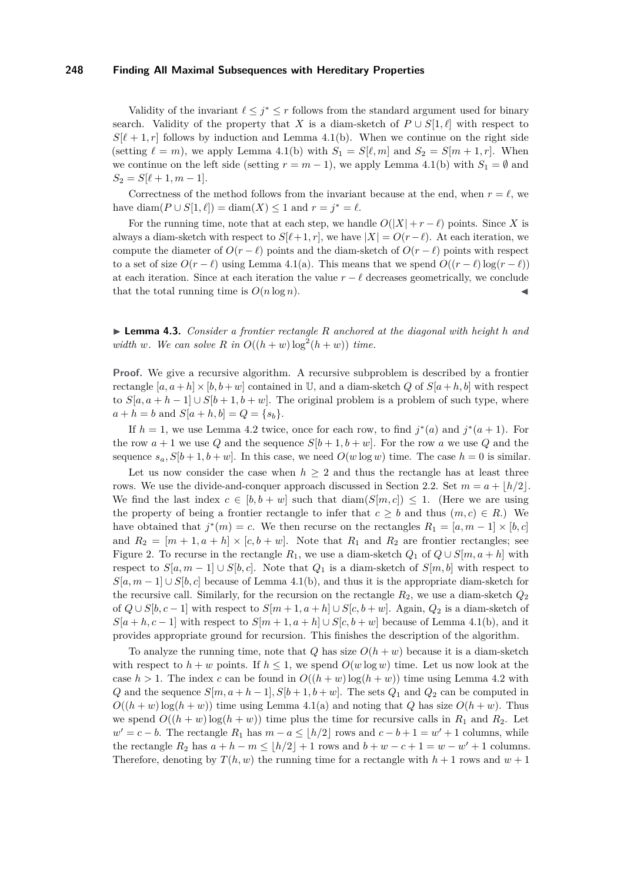Validity of the invariant  $\ell \leq j^* \leq r$  follows from the standard argument used for binary search. Validity of the property that *X* is a diam-sketch of  $P \cup S[1, \ell]$  with respect to  $S[\ell + 1, r]$  follows by induction and Lemma [4.1\(](#page-7-1)b). When we continue on the right side (setting  $\ell = m$ ), we apply Lemma [4.1\(](#page-7-1)b) with  $S_1 = S[\ell, m]$  and  $S_2 = S[m + 1, r]$ . When we continue on the left side (setting  $r = m - 1$ ), we apply Lemma [4.1\(](#page-7-1)b) with  $S_1 = \emptyset$  and  $S_2 = S[\ell + 1, m - 1].$ 

Correctness of the method follows from the invariant because at the end, when  $r = \ell$ , we have diam( $P \cup S[1, \ell]$ ) = diam( $X$ ) ≤ 1 and  $r = j^* = \ell$ .

For the running time, note that at each step, we handle  $O(|X| + r - \ell)$  points. Since *X* is always a diam-sketch with respect to  $S[\ell + 1, r]$ , we have  $|X| = O(r - \ell)$ . At each iteration, we compute the diameter of  $O(r - \ell)$  points and the diam-sketch of  $O(r - \ell)$  points with respect to a set of size  $O(r - \ell)$  using Lemma [4.1\(](#page-7-1)a). This means that we spend  $O((r - \ell) \log(r - \ell))$ at each iteration. Since at each iteration the value  $r - \ell$  decreases geometrically, we conclude that the total running time is  $O(n \log n)$ .

<span id="page-8-0"></span>I **Lemma 4.3.** *Consider a frontier rectangle R anchored at the diagonal with height h and width w*. We can solve R in  $O((h + w) \log^2(h + w))$  time.

**Proof.** We give a recursive algorithm. A recursive subproblem is described by a frontier rectangle  $[a, a+h] \times [b, b+w]$  contained in U, and a diam-sketch *Q* of  $S[a+h, b]$  with respect to  $S[a, a+h-1] \cup S[b+1, b+w]$ . The original problem is a problem of such type, where  $a + h = b$  and  $S[a + h, b] = Q = \{s_b\}.$ 

If  $h = 1$ , we use Lemma [4.2](#page-7-2) twice, once for each row, to find  $j^*(a)$  and  $j^*(a+1)$ . For the row  $a + 1$  we use Q and the sequence  $S[b + 1, b + w]$ . For the row a we use Q and the sequence  $s_a$ ,  $S[b+1,b+w]$ . In this case, we need  $O(w \log w)$  time. The case  $h = 0$  is similar.

Let us now consider the case when  $h \geq 2$  and thus the rectangle has at least three rows. We use the divide-and-conquer approach discussed in Section [2.2.](#page-4-2) Set  $m = a + \lfloor h/2 \rfloor$ . We find the last index  $c \in [b, b + w]$  such that  $\text{diam}(S[m, c]) \leq 1$ . (Here we are using the property of being a frontier rectangle to infer that  $c \geq b$  and thus  $(m, c) \in R$ .) We have obtained that  $j^*(m) = c$ . We then recurse on the rectangles  $R_1 = [a, m-1] \times [b, c]$ and  $R_2 = [m + 1, a + h] \times [c, b + w]$ . Note that  $R_1$  and  $R_2$  are frontier rectangles; see Figure [2.](#page-5-0) To recurse in the rectangle  $R_1$ , we use a diam-sketch  $Q_1$  of  $Q \cup S[m, a+h]$  with respect to  $S[a, m-1] \cup S[b, c]$ . Note that  $Q_1$  is a diam-sketch of  $S[m, b]$  with respect to  $S[a, m-1] \cup S[b, c]$  because of Lemma [4.1\(](#page-7-1)b), and thus it is the appropriate diam-sketch for the recursive call. Similarly, for the recursion on the rectangle *R*2, we use a diam-sketch *Q*<sup>2</sup> of  $Q \cup S[b, c-1]$  with respect to  $S[m+1, a+h] \cup S[c, b+w]$ . Again,  $Q_2$  is a diam-sketch of  $S[a + h, c - 1]$  with respect to  $S[m + 1, a + h] \cup S[c, b + w]$  because of Lemma [4.1\(](#page-7-1)b), and it provides appropriate ground for recursion. This finishes the description of the algorithm.

To analyze the running time, note that *Q* has size  $O(h + w)$  because it is a diam-sketch with respect to  $h + w$  points. If  $h \leq 1$ , we spend  $O(w \log w)$  time. Let us now look at the case  $h > 1$ . The index c can be found in  $O((h + w) \log(h + w))$  time using Lemma [4.2](#page-7-2) with *Q* and the sequence  $S[m, a+h-1], S[b+1, b+w]$ . The sets  $Q_1$  and  $Q_2$  can be computed in  $O((h + w) \log(h + w))$  time using Lemma [4.1\(](#page-7-1)a) and noting that *Q* has size  $O(h + w)$ . Thus we spend  $O((h + w) \log(h + w))$  time plus the time for recursive calls in  $R_1$  and  $R_2$ . Let  $w' = c - b$ . The rectangle  $R_1$  has  $m - a \leq \lfloor h/2 \rfloor$  rows and  $c - b + 1 = w' + 1$  columns, while the rectangle  $R_2$  has  $a + h - m \leq \lfloor h/2 \rfloor + 1$  rows and  $b + w - c + 1 = w - w' + 1$  columns. Therefore, denoting by  $T(h, w)$  the running time for a rectangle with  $h + 1$  rows and  $w + 1$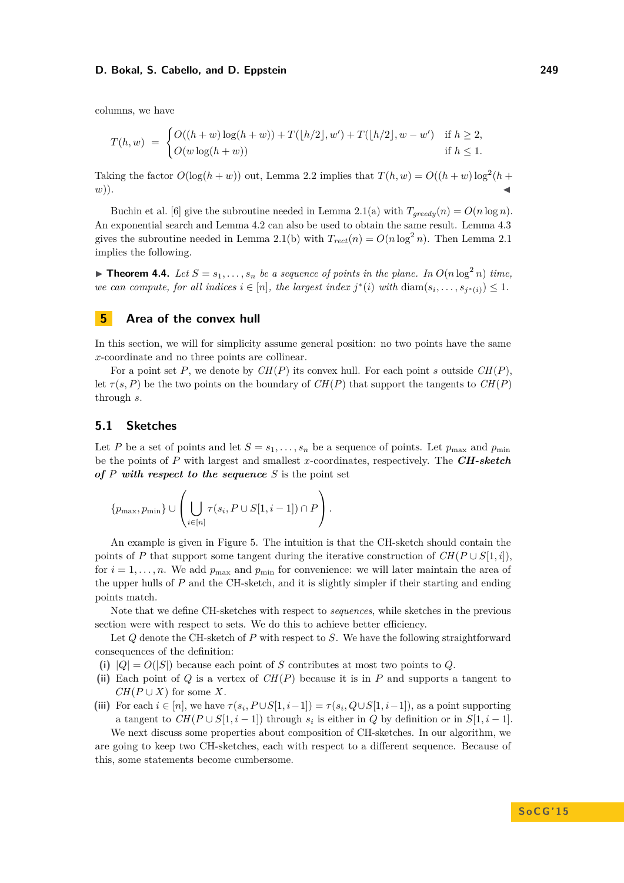columns, we have

$$
T(h, w) = \begin{cases} O((h+w)\log(h+w)) + T([h/2], w') + T([h/2], w - w') & \text{if } h \ge 2, \\ O(w\log(h+w)) & \text{if } h \le 1. \end{cases}
$$

Taking the factor  $O(\log(h+w))$  out, Lemma [2.2](#page-5-3) implies that  $T(h, w) = O((h+w)\log^2(h +$  $(w)$ ).

Buchin et al. [\[6\]](#page-14-2) give the subroutine needed in Lemma [2.1\(](#page-4-1)a) with  $T_{greedy}(n) = O(n \log n)$ . An exponential search and Lemma [4.2](#page-7-2) can also be used to obtain the same result. Lemma [4.3](#page-8-0) gives the subroutine needed in Lemma [2.1\(](#page-4-1)b) with  $T_{rect}(n) = O(n \log^2 n)$ . Then Lemma [2.1](#page-4-1) implies the following.

**Find 1.4.** *Let*  $S = s_1, \ldots, s_n$  *be a sequence of points in the plane. In*  $O(n \log^2 n)$  *time, we can compute, for all indices*  $i \in [n]$ *, the largest index*  $j^*(i)$  *with*  $\text{diam}(s_i, \ldots, s_{j^*(i)}) \leq 1$ *.* 

# **5 Area of the convex hull**

In this section, we will for simplicity assume general position: no two points have the same *x*-coordinate and no three points are collinear.

For a point set *P*, we denote by *CH*(*P*) its convex hull. For each point *s* outside *CH*(*P*), let  $\tau(s, P)$  be the two points on the boundary of  $CH(P)$  that support the tangents to  $CH(P)$ through *s*.

## **5.1 Sketches**

Let *P* be a set of points and let  $S = s_1, \ldots, s_n$  be a sequence of points. Let  $p_{\text{max}}$  and  $p_{\text{min}}$ be the points of *P* with largest and smallest *x*-coordinates, respectively. The *CH-sketch of P with respect to the sequence S* is the point set

$$
\{p_{\max}, p_{\min}\} \cup \left(\bigcup_{i \in [n]} \tau(s_i, P \cup S[1, i-1]) \cap P\right).
$$

An example is given in Figure [5.](#page-10-0) The intuition is that the CH-sketch should contain the points of *P* that support some tangent during the iterative construction of  $CH(P \cup S[1, i])$ . for  $i = 1, \ldots, n$ . We add  $p_{\text{max}}$  and  $p_{\text{min}}$  for convenience: we will later maintain the area of the upper hulls of *P* and the CH-sketch, and it is slightly simpler if their starting and ending points match.

Note that we define CH-sketches with respect to *sequences*, while sketches in the previous section were with respect to sets. We do this to achieve better efficiency.

Let *Q* denote the CH-sketch of *P* with respect to *S*. We have the following straightforward consequences of the definition:

- (i)  $|Q| = O(|S|)$  because each point of *S* contributes at most two points to *Q*.
- **(ii)** Each point of *Q* is a vertex of *CH*(*P*) because it is in *P* and supports a tangent to  $CH(P \cup X)$  for some *X*.
- (iii) For each  $i \in [n]$ , we have  $\tau(s_i, P \cup S[1, i-1]) = \tau(s_i, Q \cup S[1, i-1])$ , as a point supporting a tangent to  $CH(P \cup S[1, i-1])$  through  $s_i$  is either in *Q* by definition or in  $S[1, i-1]$ .

We next discuss some properties about composition of CH-sketches. In our algorithm, we are going to keep two CH-sketches, each with respect to a different sequence. Because of this, some statements become cumbersome.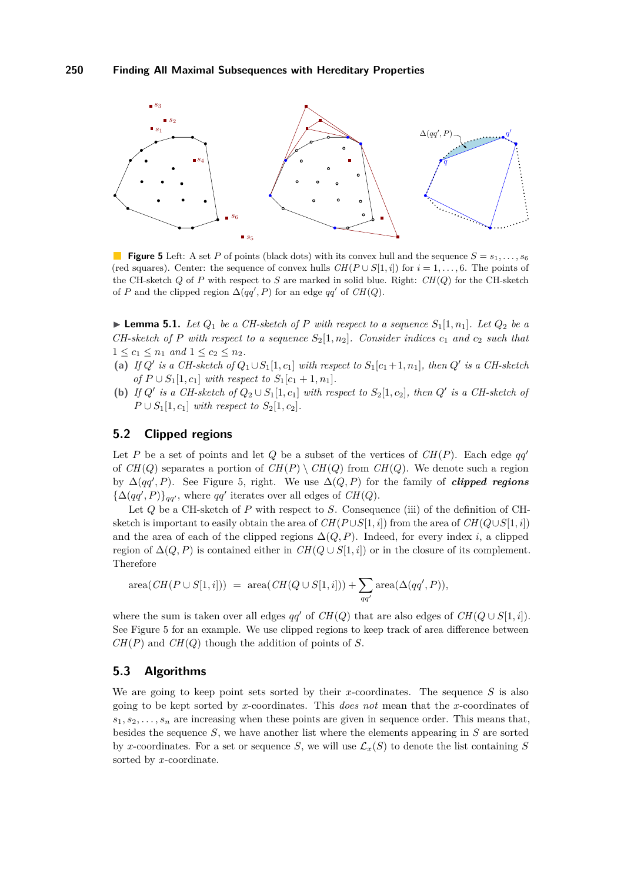<span id="page-10-0"></span>

**Figure 5** Left: A set *P* of points (black dots) with its convex hull and the sequence  $S = s_1, \ldots, s_6$ (red squares). Center: the sequence of convex hulls  $CH(P \cup S[1, i])$  for  $i = 1, \ldots, 6$ . The points of the CH-sketch *Q* of *P* with respect to *S* are marked in solid blue. Right: *CH*(*Q*) for the CH-sketch of *P* and the clipped region  $\Delta(qq', P)$  for an edge  $qq'$  of  $CH(Q)$ .

<span id="page-10-1"></span>**Example 1.** Let  $Q_1$  be a CH-sketch of P with respect to a sequence  $S_1[1, n_1]$ . Let  $Q_2$  be a *CH-sketch of P with respect to a sequence*  $S_2[1,n_2]$ *. Consider indices*  $c_1$  *and*  $c_2$  *such that*  $1 \leq c_1 \leq n_1 \text{ and } 1 \leq c_2 \leq n_2.$ 

- (a) *If*  $Q'$  is a CH-sketch of  $Q_1 \cup S_1[1, c_1]$  with respect to  $S_1[c_1 + 1, n_1]$ , then  $Q'$  is a CH-sketch *of*  $P \cup S_1[1, c_1]$  *with respect to*  $S_1[c_1 + 1, n_1]$ *.*
- **(b)** *If*  $Q'$  *is a CH-sketch of*  $Q_2 \cup S_1[1,c_1]$  *with respect to*  $S_2[1,c_2]$ *, then*  $Q'$  *is a CH-sketch of P* ∪ *S*<sub>1</sub>[1*, c*<sub>1</sub>] *with respect to S*<sub>2</sub>[1*, c*<sub>2</sub>]*.*

# **5.2 Clipped regions**

Let *P* be a set of points and let *Q* be a subset of the vertices of  $CH(P)$ . Each edge *qq'* of  $CH(Q)$  separates a portion of  $CH(P) \setminus CH(Q)$  from  $CH(Q)$ . We denote such a region by  $\Delta(qq', P)$ . See Figure [5,](#page-10-0) right. We use  $\Delta(Q, P)$  for the family of *clipped regions*  ${\{\Delta(qq', P)\}}_{qq'}$ , where  $qq'$  iterates over all edges of  $CH(Q)$ .

Let *Q* be a CH-sketch of *P* with respect to *S*. Consequence (iii) of the definition of CHsketch is important to easily obtain the area of  $CH(P \cup S[1, i])$  from the area of  $CH(Q \cup S[1, i])$ and the area of each of the clipped regions  $\Delta(Q, P)$ . Indeed, for every index *i*, a clipped region of  $\Delta(Q, P)$  is contained either in  $CH(Q \cup S[1, i])$  or in the closure of its complement. Therefore

$$
\operatorname{area}( \operatorname{CH}(P\cup S[1,i])) \,\, = \,\, \operatorname{area}( \operatorname{CH}(Q\cup S[1,i])) + \sum_{qq'} \operatorname{area}(\Delta(qq',P)),
$$

where the sum is taken over all edges  $qq'$  of  $CH(Q)$  that are also edges of  $CH(Q \cup S[1, i])$ . See Figure [5](#page-10-0) for an example. We use clipped regions to keep track of area difference between *CH*(*P*) and *CH*(*Q*) though the addition of points of *S*.

# **5.3 Algorithms**

We are going to keep point sets sorted by their *x*-coordinates. The sequence *S* is also going to be kept sorted by *x*-coordinates. This *does not* mean that the *x*-coordinates of  $s_1, s_2, \ldots, s_n$  are increasing when these points are given in sequence order. This means that, besides the sequence *S*, we have another list where the elements appearing in *S* are sorted by *x*-coordinates. For a set or sequence *S*, we will use  $\mathcal{L}_x(S)$  to denote the list containing *S* sorted by *x*-coordinate.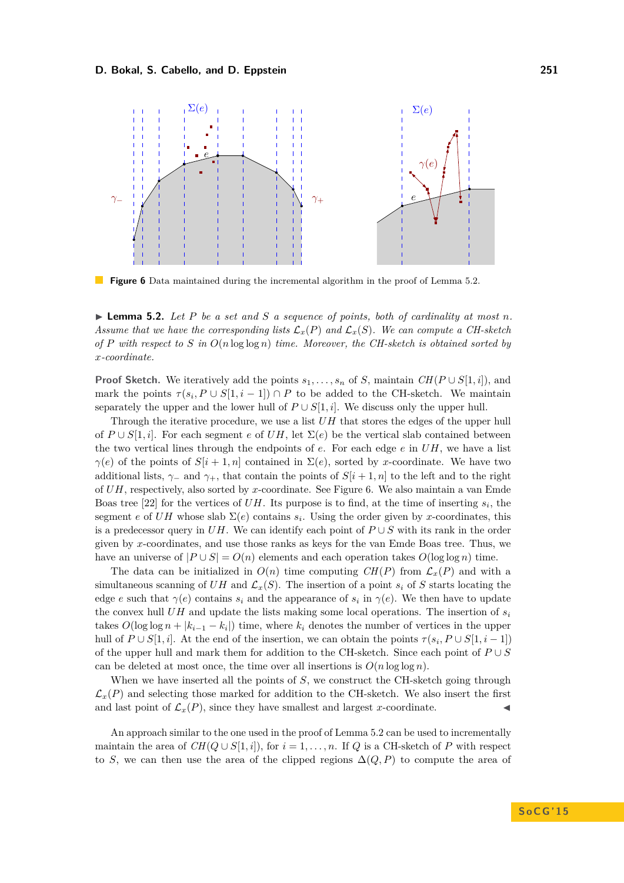<span id="page-11-1"></span>

**Figure 6** Data maintained during the incremental algorithm in the proof of Lemma [5.2.](#page-11-0)

<span id="page-11-0"></span> $\blacktriangleright$  **Lemma 5.2.** Let P be a set and S a sequence of points, both of cardinality at most n. *Assume that we have the corresponding lists*  $\mathcal{L}_x(P)$  *and*  $\mathcal{L}_x(S)$ *. We can compute a CH-sketch of P with respect to S in O*(*n* log log *n*) *time. Moreover, the CH-sketch is obtained sorted by x-coordinate.*

**Proof Sketch.** We iteratively add the points  $s_1, \ldots, s_n$  of *S*, maintain  $CH(P \cup S[1, i])$ , and mark the points  $\tau(s_i, P \cup S[1, i-1]) \cap P$  to be added to the CH-sketch. We maintain separately the upper and the lower hull of  $P \cup S[1, i]$ . We discuss only the upper hull.

Through the iterative procedure, we use a list *UH* that stores the edges of the upper hull of  $P \cup S[1, i]$ . For each segment *e* of  $UH$ , let  $\Sigma(e)$  be the vertical slab contained between the two vertical lines through the endpoints of *e*. For each edge *e* in *UH*, we have a list *γ*(*e*) of the points of  $S[i + 1, n]$  contained in  $\Sigma(e)$ , sorted by *x*-coordinate. We have two additional lists,  $\gamma$ − and  $\gamma$ +, that contain the points of  $S[i + 1, n]$  to the left and to the right of *UH*, respectively, also sorted by *x*-coordinate. See Figure [6.](#page-11-1) We also maintain a van Emde Boas tree [\[22\]](#page-14-20) for the vertices of  $UH$ . Its purpose is to find, at the time of inserting  $s_i$ , the segment *e* of *UH* whose slab  $\Sigma(e)$  contains  $s_i$ . Using the order given by *x*-coordinates, this is a predecessor query in  $UH$ . We can identify each point of  $P \cup S$  with its rank in the order given by *x*-coordinates, and use those ranks as keys for the van Emde Boas tree. Thus, we have an universe of  $|P \cup S| = O(n)$  elements and each operation takes  $O(\log \log n)$  time.

The data can be initialized in  $O(n)$  time computing  $CH(P)$  from  $\mathcal{L}_x(P)$  and with a simultaneous scanning of  $UH$  and  $\mathcal{L}_x(S)$ . The insertion of a point  $s_i$  of  $S$  starts locating the edge *e* such that  $\gamma(e)$  contains  $s_i$  and the appearance of  $s_i$  in  $\gamma(e)$ . We then have to update the convex hull  $UH$  and update the lists making some local operations. The insertion of  $s_i$ takes  $O(\log \log n + |k_{i-1} - k_i|)$  time, where  $k_i$  denotes the number of vertices in the upper hull of  $P \cup S[1, i]$ . At the end of the insertion, we can obtain the points  $\tau(s_i, P \cup S[1, i-1])$ of the upper hull and mark them for addition to the CH-sketch. Since each point of *P* ∪ *S* can be deleted at most once, the time over all insertions is  $O(n \log \log n)$ .

When we have inserted all the points of *S*, we construct the CH-sketch going through  $\mathcal{L}_x(P)$  and selecting those marked for addition to the CH-sketch. We also insert the first and last point of  $\mathcal{L}_x(P)$ , since they have smallest and largest *x*-coordinate.

An approach similar to the one used in the proof of Lemma [5.2](#page-11-0) can be used to incrementally maintain the area of  $CH(Q \cup S[1, i])$ , for  $i = 1, \ldots, n$ . If *Q* is a CH-sketch of *P* with respect to *S*, we can then use the area of the clipped regions  $\Delta(Q, P)$  to compute the area of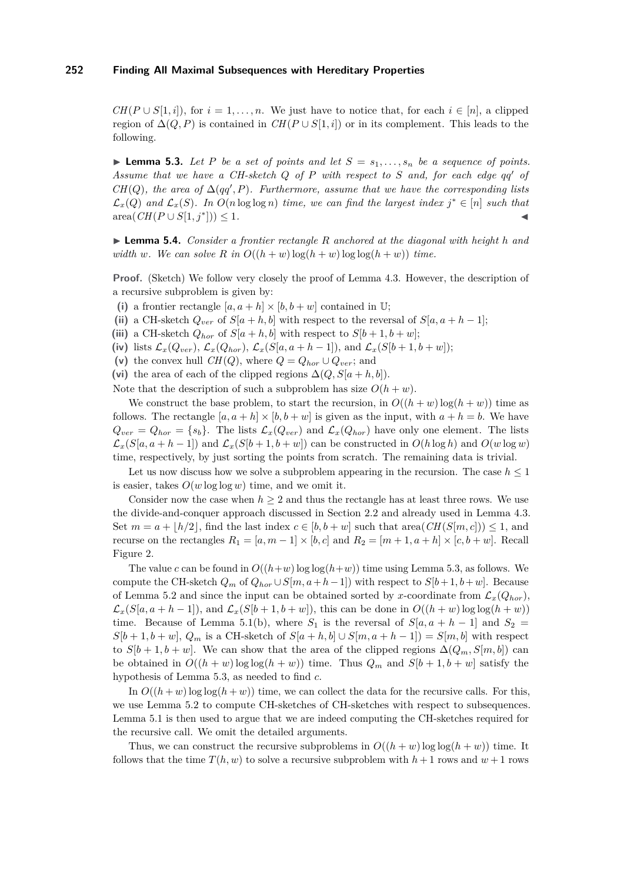$CH(P \cup S[1,i])$ , for  $i = 1, \ldots, n$ . We just have to notice that, for each  $i \in [n]$ , a clipped region of  $\Delta(Q, P)$  is contained in  $CH(P \cup S[1, i])$  or in its complement. This leads to the following.

<span id="page-12-0"></span>**I Lemma 5.3.** Let P be a set of points and let  $S = s_1, \ldots, s_n$  be a sequence of points. *Assume that we have a CH-sketch Q of P with respect to S and, for each edge qq*<sup>0</sup> *of CH*(*Q*), the area of  $\Delta(qq', P)$ *. Furthermore, assume that we have the corresponding lists*  $\mathcal{L}_x(Q)$  and  $\mathcal{L}_x(S)$ . In  $O(n \log \log n)$  time, we can find the largest index  $j^* \in [n]$  such that  $area(CH(P \cup S[1, j^*])) \leq 1.$  $|) \leq 1.$ 

<span id="page-12-1"></span>I **Lemma 5.4.** *Consider a frontier rectangle R anchored at the diagonal with height h and width w*. We can solve R in  $O((h + w) \log(h + w) \log(h + w))$  time.

**Proof.** (Sketch) We follow very closely the proof of Lemma [4.3.](#page-8-0) However, the description of a recursive subproblem is given by:

- (i) a frontier rectangle  $[a, a + h] \times [b, b + w]$  contained in U;
- (ii) a CH-sketch  $Q_{ver}$  of  $S[a + h, b]$  with respect to the reversal of  $S[a, a + h 1]$ ;
- (iii) a CH-sketch  $Q_{hor}$  of  $S[a + h, b]$  with respect to  $S[b + 1, b + w]$ ;
- (iv) lists  $\mathcal{L}_x(Q_{ver}), \mathcal{L}_x(Q_{hor}), \mathcal{L}_x(S[a, a+h-1]),$  and  $\mathcal{L}_x(S[b+1, b+w]);$
- (v) the convex hull *CH*(*Q*), where  $Q = Q_{hor} \cup Q_{ver}$ ; and
- (vi) the area of each of the clipped regions  $\Delta(Q, S|a + h, b)$ ).

Note that the description of such a subproblem has size  $O(h + w)$ .

We construct the base problem, to start the recursion, in  $O((h + w) \log(h + w))$  time as follows. The rectangle  $[a, a + h] \times [b, b + w]$  is given as the input, with  $a + h = b$ . We have  $Q_{ver} = Q_{hor} = \{s_b\}$ . The lists  $\mathcal{L}_x(Q_{ver})$  and  $\mathcal{L}_x(Q_{hor})$  have only one element. The lists  $\mathcal{L}_x(S[a, a + h - 1])$  and  $\mathcal{L}_x(S[b + 1, b + w])$  can be constructed in  $O(h \log h)$  and  $O(w \log w)$ time, respectively, by just sorting the points from scratch. The remaining data is trivial.

Let us now discuss how we solve a subproblem appearing in the recursion. The case  $h \leq 1$ is easier, takes  $O(w \log \log w)$  time, and we omit it.

Consider now the case when  $h \geq 2$  and thus the rectangle has at least three rows. We use the divide-and-conquer approach discussed in Section [2.2](#page-4-2) and already used in Lemma [4.3.](#page-8-0) Set  $m = a + \lfloor h/2 \rfloor$ , find the last index  $c \in [b, b + w]$  such that area  $CH(S(m, c)) \leq 1$ , and recurse on the rectangles  $R_1 = [a, m-1] \times [b, c]$  and  $R_2 = [m+1, a+h] \times [c, b+w]$ . Recall Figure [2.](#page-5-0)

The value *c* can be found in  $O((h+w)\log \log (h+w))$  time using Lemma [5.3,](#page-12-0) as follows. We compute the CH-sketch  $Q_m$  of  $Q_{hor} \cup S[m, a+h-1]$  with respect to  $S[b+1, b+w]$ . Because of Lemma [5.2](#page-11-0) and since the input can be obtained sorted by *x*-coordinate from  $\mathcal{L}_x(Q_{hor})$ ,  $\mathcal{L}_x(S[a, a+h-1]),$  and  $\mathcal{L}_x(S[b+1, b+w]),$  this can be done in  $O((h+w)\log\log(h+w))$ time. Because of Lemma [5.1\(](#page-10-1)b), where  $S_1$  is the reversal of  $S[a, a + h - 1]$  and  $S_2$  $S[b+1,b+w]$ ,  $Q_m$  is a CH-sketch of  $S[a+h,b] \cup S[m,a+h-1]$ ) =  $S[m,b]$  with respect to  $S[b+1,b+w]$ . We can show that the area of the clipped regions  $\Delta(Q_m, S[m, b])$  can be obtained in  $O((h + w) \log \log(h + w))$  time. Thus  $Q_m$  and  $S[b + 1, b + w]$  satisfy the hypothesis of Lemma [5.3,](#page-12-0) as needed to find *c*.

In  $O((h + w) \log \log(h + w))$  time, we can collect the data for the recursive calls. For this, we use Lemma [5.2](#page-11-0) to compute CH-sketches of CH-sketches with respect to subsequences. Lemma [5.1](#page-10-1) is then used to argue that we are indeed computing the CH-sketches required for the recursive call. We omit the detailed arguments.

Thus, we can construct the recursive subproblems in  $O((h + w) \log \log (h + w))$  time. It follows that the time  $T(h, w)$  to solve a recursive subproblem with  $h + 1$  rows and  $w + 1$  rows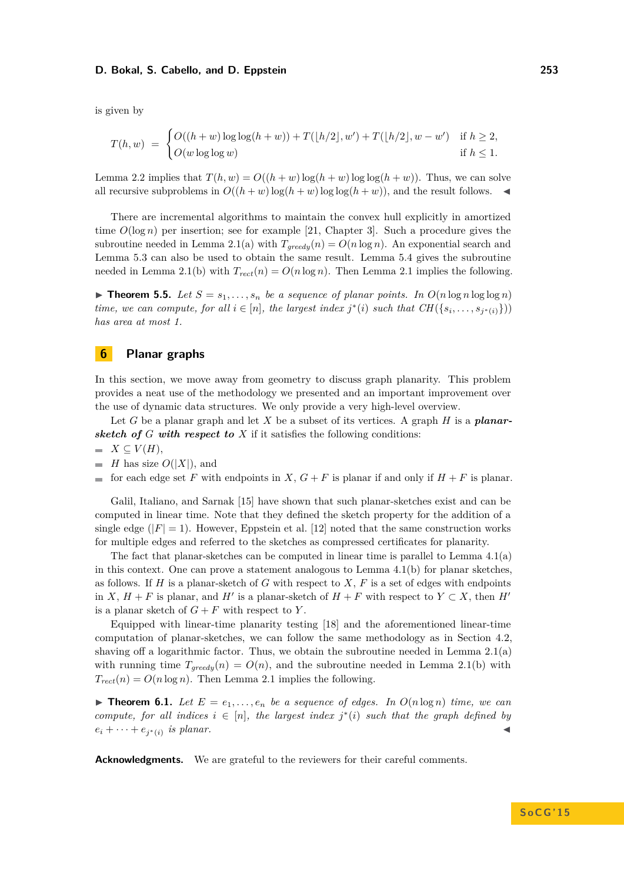is given by

$$
T(h, w) = \begin{cases} O((h+w)\log\log(h+w)) + T([h/2], w') + T([h/2], w - w') & \text{if } h \ge 2, \\ O(w\log\log w) & \text{if } h \le 1. \end{cases}
$$

Lemma [2.2](#page-5-3) implies that  $T(h, w) = O((h + w) \log(h + w) \log \log(h + w))$ . Thus, we can solve all recursive subproblems in  $O((h + w) \log(h + w) \log(\log(h + w))$ , and the result follows.

There are incremental algorithms to maintain the convex hull explicitly in amortized time  $O(\log n)$  per insertion; see for example [\[21,](#page-14-19) Chapter 3]. Such a procedure gives the subroutine needed in Lemma [2.1\(](#page-4-1)a) with  $T_{greedy}(n) = O(n \log n)$ . An exponential search and Lemma [5.3](#page-12-0) can also be used to obtain the same result. Lemma [5.4](#page-12-1) gives the subroutine needed in Lemma [2.1\(](#page-4-1)b) with  $T_{rect}(n) = O(n \log n)$ . Then Lemma [2.1](#page-4-1) implies the following.

 $\triangleright$  **Theorem 5.5.** Let  $S = s_1, \ldots, s_n$  be a sequence of planar points. In  $O(n \log n \log \log n)$ *time, we can compute, for all*  $i \in [n]$ *, the largest index*  $j^*(i)$  *such that*  $CH(\{s_i, \ldots, s_{j^*(i)}\})$ *has area at most 1.*

# **6 Planar graphs**

In this section, we move away from geometry to discuss graph planarity. This problem provides a neat use of the methodology we presented and an important improvement over the use of dynamic data structures. We only provide a very high-level overview.

Let *G* be a planar graph and let *X* be a subset of its vertices. A graph *H* is a *planarsketch of*  $G$  *with respect to*  $X$  if it satisfies the following conditions:

$$
\quad \blacksquare \ \ X \subseteq V(H),
$$

 $\blacksquare$  *H* has size  $O(|X|)$ , and

for each edge set F with endpoints in  $X$ ,  $G + F$  is planar if and only if  $H + F$  is planar.

Galil, Italiano, and Sarnak [\[15\]](#page-14-10) have shown that such planar-sketches exist and can be computed in linear time. Note that they defined the sketch property for the addition of a single edge  $(|F| = 1)$ . However, Eppstein et al. [\[12\]](#page-14-15) noted that the same construction works for multiple edges and referred to the sketches as compressed certificates for planarity.

The fact that planar-sketches can be computed in linear time is parallel to Lemma [4.1\(](#page-7-1)a) in this context. One can prove a statement analogous to Lemma [4.1\(](#page-7-1)b) for planar sketches, as follows. If *H* is a planar-sketch of *G* with respect to *X*, *F* is a set of edges with endpoints in *X*,  $H + F$  is planar, and *H*<sup> $\prime$ </sup> is a planar-sketch of  $H + F$  with respect to  $Y \subset X$ , then *H*<sup> $\prime$ </sup> is a planar sketch of  $G + F$  with respect to  $Y$ .

Equipped with linear-time planarity testing [\[18\]](#page-14-21) and the aforementioned linear-time computation of planar-sketches, we can follow the same methodology as in Section [4.2,](#page-7-3) shaving off a logarithmic factor. Thus, we obtain the subroutine needed in Lemma  $2.1(a)$ with running time  $T_{greedy}(n) = O(n)$ , and the subroutine needed in Lemma [2.1\(](#page-4-1)b) with  $T_{rect}(n) = O(n \log n)$ . Then Lemma [2.1](#page-4-1) implies the following.

**Find 1.** *Let*  $E = e_1, \ldots, e_n$  *be a sequence of edges. In*  $O(n \log n)$  *time, we can compute, for all indices*  $i \in [n]$ *, the largest index*  $j^*(i)$  *such that the graph defined by*  $e_i + \cdots + e_{j^*(i)}$  *is planar.* 

**Acknowledgments.** We are grateful to the reviewers for their careful comments.